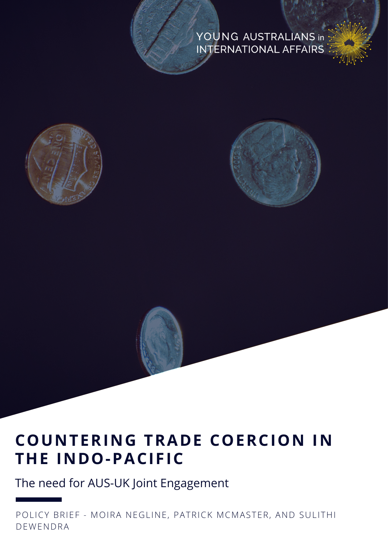#### YOUNG AUSTRALIANS in INTERNATIONAL AFFAIRS





### **COUNTERING TRADE COERCION IN THE INDO-PACIFIC**

The need for AUS-UK Joint Engagement

POLICY BRIEF - MOIRA NEGLINE, PATRICK MCMASTER, AND SULITHI DEWENDRA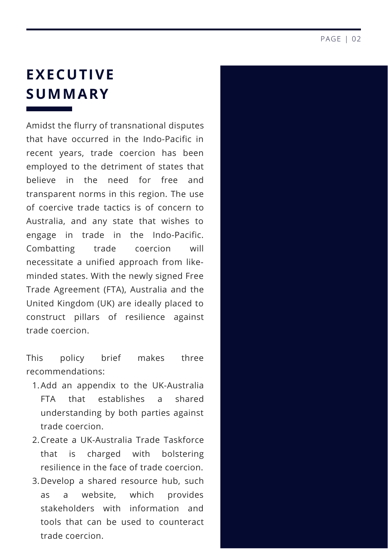#### **EXECUTIVE SUMMARY**

Amidst the flurry of transnational disputes that have occurred in the Indo-Pacific in recent years, trade coercion has been employed to the detriment of states that believe in the need for free and transparent norms in this region. The use of coercive trade tactics is of concern to Australia, and any state that wishes to engage in trade in the Indo-Pacific. Combatting trade coercion will necessitate a unified approach from likeminded states. With the newly signed Free Trade Agreement (FTA), Australia and the United Kingdom (UK) are ideally placed to construct pillars of resilience against trade coercion.

This policy brief makes three recommendations:

- 1. Add an appendix to the UK-Australia FTA that establishes a shared understanding by both parties against trade coercion.
- 2.Create a UK-Australia Trade Taskforce that is charged with bolstering resilience in the face of trade coercion.
- 3.Develop a shared resource hub, such as a website, which provides stakeholders with information and tools that can be used to counteract trade coercion.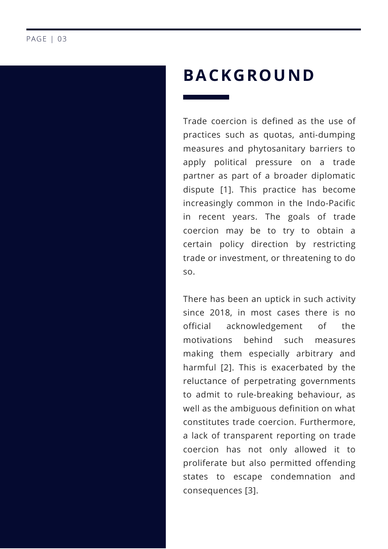## **BACKGROUND**

Trade coercion is defined as the use of practices such as quotas, anti-dumping measures and phytosanitary barriers to apply political pressure on a trade partner as part of a broader diplomatic dispute [1]. This practice has become increasingly common in the Indo-Pacific in recent years. The goals of trade coercion may be to try to obtain a certain policy direction by restricting trade or investment, or threatening to do so.

There has been an uptick in such activity since 2018, in most cases there is no official acknowledgement of the motivations behind such measures making them especially arbitrary and harmful [2]. This is exacerbated by the reluctance of perpetrating governments to admit to rule-breaking behaviour, as well as the ambiguous definition on what constitutes trade coercion. Furthermore, a lack of transparent reporting on trade coercion has not only allowed it to proliferate but also permitted offending states to escape condemnation and consequences [3].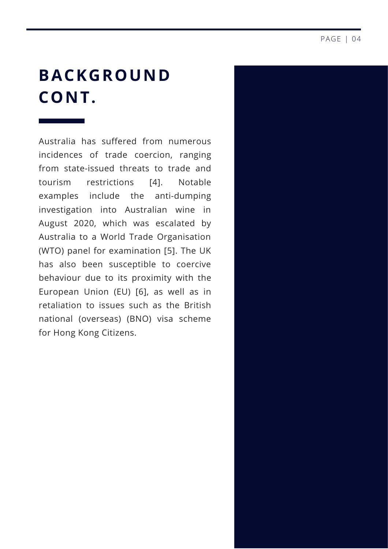## **BACKGROUND CONT.**

Australia has suffered from numerous incidences of trade coercion, ranging from state-issued threats to trade and tourism restrictions [4]. Notable examples include the anti-dumping investigation into Australian wine in August 2020, which was escalated by Australia to a World Trade Organisation (WTO) panel for examination [5]. The UK has also been susceptible to coercive behaviour due to its proximity with the European Union (EU) [6], as well as in retaliation to issues such as the British national (overseas) (BNO) visa scheme for Hong Kong Citizens.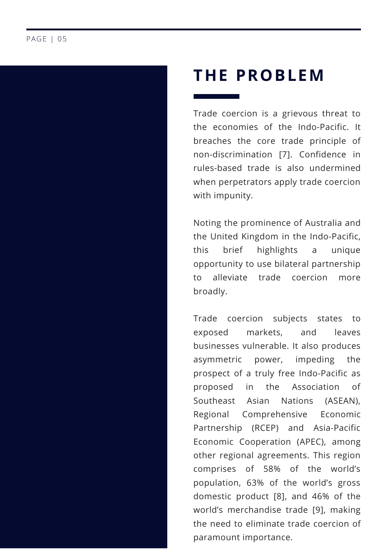#### **THE PROBLEM**

Trade coercion is a grievous threat to the economies of the Indo-Pacific. It breaches the core trade principle of non-discrimination [7]. Confidence in rules-based trade is also undermined when perpetrators apply trade coercion with impunity.

Noting the prominence of Australia and the United Kingdom in the Indo-Pacific, this brief highlights a unique opportunity to use bilateral partnership to alleviate trade coercion more broadly.

Trade coercion subjects states to exposed markets, and leaves businesses vulnerable. It also produces asymmetric power, impeding the prospect of a truly free Indo-Pacific as proposed in the Association of Southeast Asian Nations (ASEAN), Regional Comprehensive Economic Partnership (RCEP) and Asia-Pacific Economic Cooperation (APEC), among other regional agreements. This region comprises of 58% of the world's population, 63% of the world's gross domestic product [8], and 46% of the world's merchandise trade [9], making the need to eliminate trade coercion of paramount importance.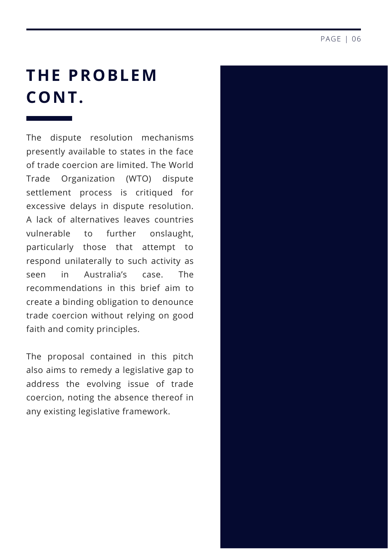## **THE PROBLEM CONT.**

The dispute resolution mechanisms presently available to states in the face of trade coercion are limited. The World Trade Organization (WTO) dispute settlement process is critiqued for excessive delays in dispute resolution. A lack of alternatives leaves countries vulnerable to further onslaught, particularly those that attempt to respond unilaterally to such activity as seen in Australia's case. The recommendations in this brief aim to create a binding obligation to denounce trade coercion without relying on good faith and comity principles.

The proposal contained in this pitch also aims to remedy a legislative gap to address the evolving issue of trade coercion, noting the absence thereof in any existing legislative framework.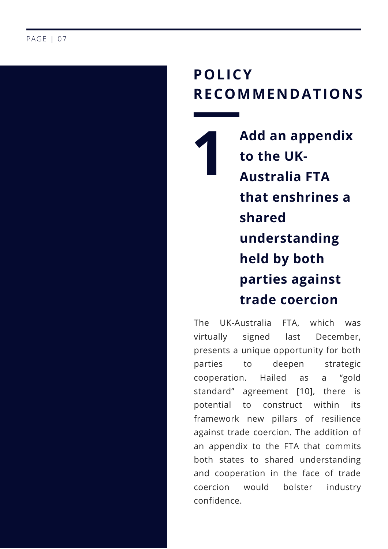### **P O L I C Y R E C O M M E N D A T I O N S**

**1 A d d a n a p p e n d i x t o t h e U K - A u s t r a l i a F T A t h a t e n s h r i n e s a s h a r e d understanding h e l d b y b o t h p a r t i e s a g a i n s t t r a d e c o e r c i o n**

T h e UK-Australia F T A , w hic h w a s vir t u ally signed la: s t December, presents a unique opportunity for both p a r tie s t o deepen strategic cooperation. Ha aile d a s a " g old standard" agreement [10], there is potential t o construct within it: its framework new pillars of resilience against trade coercion. The addition of an appendix to the FTA that commits both states to shared understanding and cooperation in the face of trade coercion w o uld bolstei r industry confidence.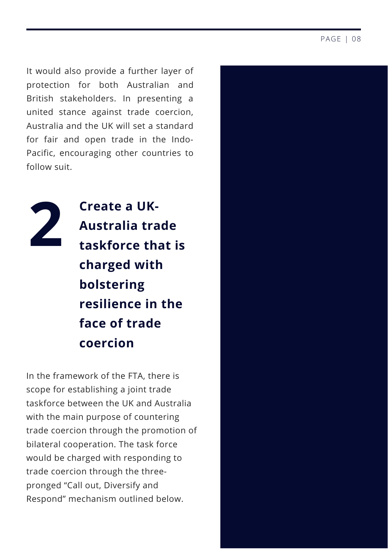It would also provide a further layer of protection for both Australian and British stakeholders. In presenting a united stance against trade coercion, Australia and the UK will set a standard for fair and open trade in the Indo-Pacific, encouraging other countries to follow suit.



**Create a UK-Australia trade taskforce that is charged with bolstering resilience in the face of trade coercion**

In the framework of the FTA, there is scope for establishing a joint trade taskforce between the UK and Australia with the main purpose of countering trade coercion through the promotion of bilateral cooperation. The task force would be charged with responding to trade coercion through the threepronged "Call out, Diversify and Respond" mechanism outlined below.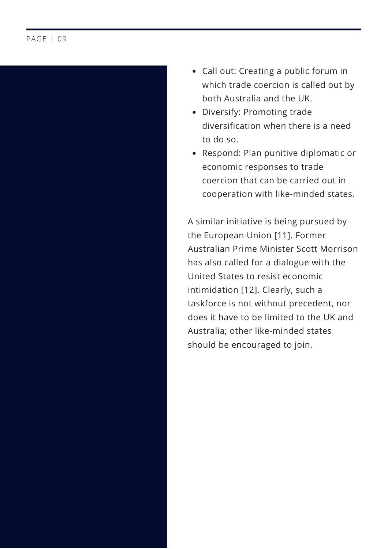

- Call out: Creating a public forum in which trade coercion is called out by both Australia and the UK.
- Diversify: Promoting trade diversification when there is a need to do so.
- Respond: Plan punitive diplomatic or economic responses to trade coercion that can be carried out in cooperation with like-minded states.

A similar initiative is being pursued by the European Union [11]. Former Australian Prime Minister Scott Morrison has also called for a dialogue with the United States to resist economic intimidation [12]. Clearly, such a taskforce is not without precedent, nor does it have to be limited to the UK and Australia; other like-minded states should be encouraged to join.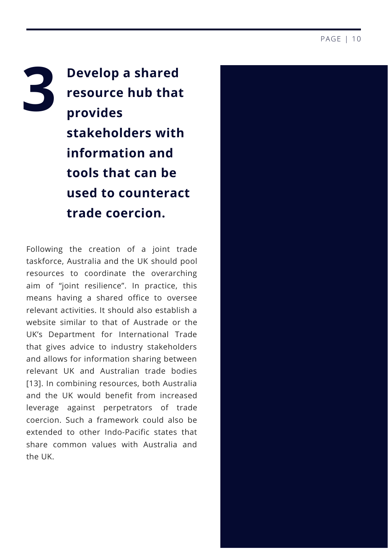**3 Develop a shared resource hub that provides stakeholders with information and tools that can be used to counteract trade coercion.**

Following the creation of a joint trade taskforce, Australia and the UK should pool resources to coordinate the overarching aim of "joint resilience". In practice, this means having a shared office to oversee relevant activities. It should also establish a website similar to that of Austrade or the UK's Department for [International](https://www.gov.uk/government/organisations/department-for-international-trade/about-our-services) Trade that gives advice to industry stakeholders and allows for information sharing between relevant UK and Australian trade bodies [13]. In combining resources, both Australia and the UK would benefit from increased leverage against perpetrators of trade coercion. Such a framework could also be extended to other Indo-Pacific states that share common values with Australia and the UK.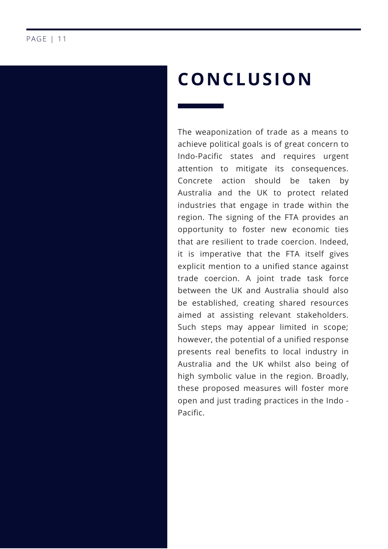## **CONCLUSION**

The weaponization of trade as a means to achieve political goals is of great concern to Indo-Pacific states and requires urgent attention to mitigate its consequences. Concrete action should be taken by Australia and the UK to protect related industries that engage in trade within the region. The signing of the FTA provides an opportunity to foster new economic ties that are resilient to trade coercion. Indeed, it is imperative that the FTA itself gives explicit mention to a unified stance against trade coercion. A joint trade task force between the UK and Australia should also be established, creating shared resources aimed at assisting relevant stakeholders. Such steps may appear limited in scope; however, the potential of a unified response presents real benefits to local industry in Australia and the UK whilst also being of high symbolic value in the region. Broadly, these proposed measures will foster more open and just trading practices in the Indo - Pacific.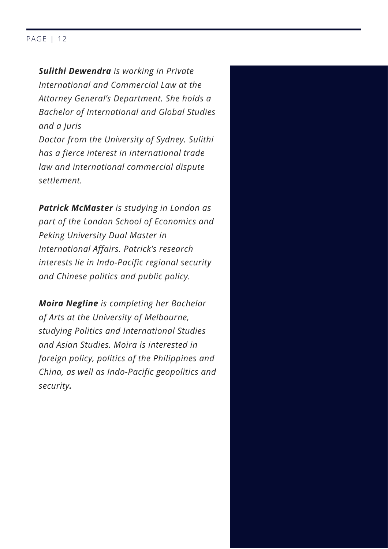#### PAGE | 12

*Sulithi Dewendra is working in Private International and Commercial Law at the Attorney General's Department. She holds a Bachelor of International and Global Studies and a Juris Doctor from the University of Sydney. Sulithi has a fierce interest in international trade law and international commercial dispute settlement.*

*Patrick McMaster is studying in London as part of the London School of Economics and Peking University Dual Master in International Affairs. Patrick's research interests lie in Indo-Pacific regional security and Chinese politics and public policy.*

*Moira Negline is completing her Bachelor of Arts at the University of Melbourne, studying Politics and International Studies and Asian Studies. Moira is interested in foreign policy, politics of the Philippines and China, as well as Indo-Pacific geopolitics and security.*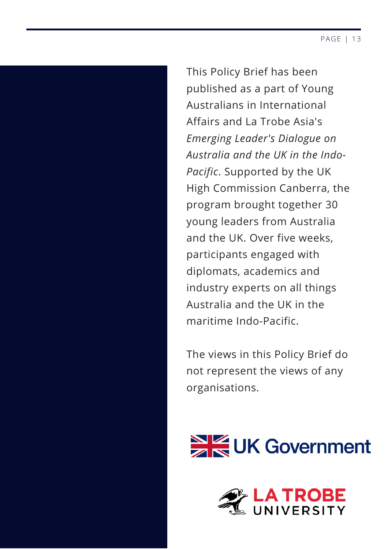This Policy Brief has been published as a part of Young Australians in International Affairs and La Trobe Asia's *Emerging Leader's Dialogue on Australia and the UK in the Indo-Pacific*. Supported by the UK High Commission Canberra, the program brought together 30 young leaders from Australia and the UK. Over five weeks, participants engaged with diplomats, academics and industry experts on all things Australia and the UK in the maritime Indo-Pacific.

The views in this Policy Brief do not represent the views of any organisations.



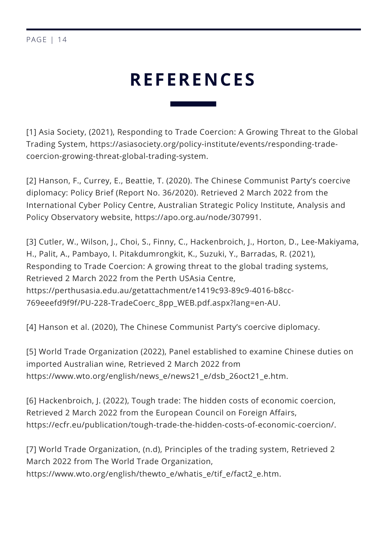## **REFERENCES**

[1] Asia Society, (2021), Responding to Trade Coercion: A Growing Threat to the Global Trading System, [https://asiasociety.org/policy-institute/events/responding-trade](https://asiasociety.org/policy-institute/events/responding-trade-coercion-growing-threat-global-trading-system)coercion-growing-threat-global-trading-system.

[2] Hanson, F., Currey, E., Beattie, T. (2020). The Chinese Communist Party's coercive diplomacy: Policy Brief (Report No. 36/2020). Retrieved 2 March 2022 from the International Cyber Policy Centre, Australian Strategic Policy Institute, Analysis and Policy Observatory website, [https://apo.org.au/node/307991.](https://apo.org.au/node/307991)

[3] Cutler, W., Wilson, J., Choi, S., Finny, C., Hackenbroich, J., Horton, D., Lee-Makiyama, H., Palit, A., Pambayo, I. Pitakdumrongkit, K., Suzuki, Y., Barradas, R. (2021), Responding to Trade Coercion: A growing threat to the global trading systems, Retrieved 2 March 2022 from the Perth USAsia Centre, [https://perthusasia.edu.au/getattachment/e1419c93-89c9-4016-b8cc-](https://perthusasia.edu.au/getattachment/e1419c93-89c9-4016-b8cc-769eeefd9f9f/PU-228-TradeCoerc_8pp_WEB.pdf.aspx?lang=en-AU)769eeefd9f9f/PU-228-TradeCoerc\_8pp\_WEB.pdf.aspx?lang=en-AU.

[4] Hanson et al. (2020), The Chinese Communist Party's coercive diplomacy.

[5] World Trade Organization (2022), Panel established to examine Chinese duties on imported Australian wine, Retrieved 2 March 2022 from [https://www.wto.org/english/news\\_e/news21\\_e/dsb\\_26oct21\\_e.htm](https://www.wto.org/english/news_e/news21_e/dsb_26oct21_e.htm).

[6] Hackenbroich, J. (2022), Tough trade: The hidden costs of economic coercion, Retrieved 2 March 2022 from the European Council on Foreign Affairs, <https://ecfr.eu/publication/tough-trade-the-hidden-costs-of-economic-coercion/>.

 $\overline{a}$ [https://www.wto.org/english/thewto\\_e/whatis\\_e/tif\\_e/fact2\\_e.htm](https://www.wto.org/english/thewto_e/whatis_e/tif_e/fact2_e.htm). [7] World Trade Organization, (n.d), Principles of the trading system, Retrieved 2 March 2022 from The World Trade Organization,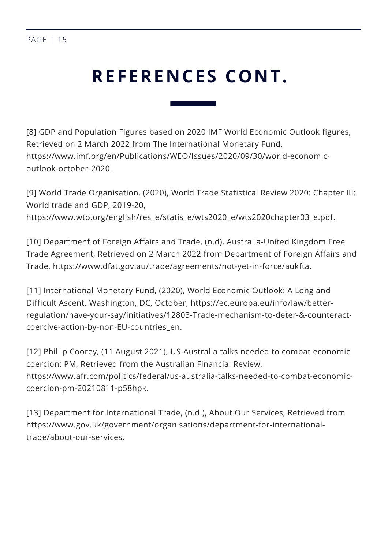```
PAGE | 15
```
# **REFERENCES CONT.**

[8] GDP and Population Figures based on 2020 IMF World Economic Outlook figures, Retrieved on 2 March 2022 from The International Monetary Fund, [https://www.imf.org/en/Publications/WEO/Issues/2020/09/30/world-economic](https://www.imf.org/en/Publications/WEO/Issues/2020/09/30/world-economic-outlook-october-2020)outlook-october-2020.

[9] World Trade Organisation, (2020), World Trade Statistical Review 2020: Chapter III: World trade and GDP, 2019-20, [https://www.wto.org/english/res\\_e/statis\\_e/wts2020\\_e/wts2020chapter03\\_e.pdf](https://www.wto.org/english/res_e/statis_e/wts2020_e/wts2020chapter03_e.pdf).

[10] Department of Foreign Affairs and Trade, (n.d), Australia-United Kingdom Free Trade Agreement, Retrieved on 2 March 2022 from Department of Foreign Affairs and Trade, [https://www.dfat.gov.au/trade/agreements/not-yet-in-force/aukfta.](https://www.dfat.gov.au/trade/agreements/not-yet-in-force/aukfta)

[11] International Monetary Fund, (2020), World Economic Outlook: A Long and Difficult Ascent. Washington, DC, October, https://ec.europa.eu/info/law/better[regulation/have-your-say/initiatives/12803-Trade-mechanism-to-deter-&-counteract](https://ec.europa.eu/info/law/better-regulation/have-your-say/initiatives/12803-Trade-mechanism-to-deter-&-counteract-coercive-action-by-non-EU-countries_en)coercive-action-by-non-EU-countries\_en.

[12] Phillip Coorey, (11 August 2021), US-Australia talks needed to combat economic coercion: PM, Retrieved from the Australian Financial Review, [https://www.afr.com/politics/federal/us-australia-talks-needed-to-combat-economic](https://www.afr.com/politics/federal/us-australia-talks-needed-to-combat-economic-coercion-pm-20210811-p58hpk)coercion-pm-20210811-p58hpk.

[13] Department for International Trade, (n.d.), About Our Services, Retrieved from [https://www.gov.uk/government/organisations/department-for-international](https://www.gov.uk/government/organisations/department-for-international-trade/about-our-services)trade/about-our-services.